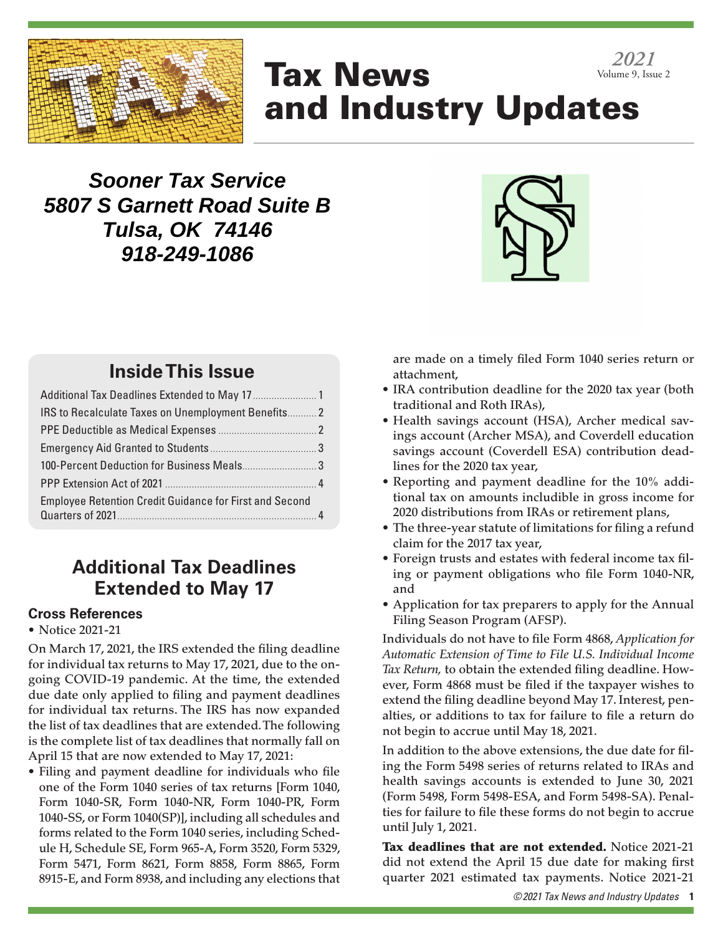

# Tax News and Industry Updates *2021* Volume 9, Issue 2

## **Sooner Tax Service 5807 S Garnett Road Suite B Tulsa, OK 74146 918-249-1086**



## **Inside This Issue**

| IRS to Recalculate Taxes on Unemployment Benefits 2            |  |
|----------------------------------------------------------------|--|
|                                                                |  |
|                                                                |  |
| 100-Percent Deduction for Business Meals 3                     |  |
|                                                                |  |
| <b>Employee Retention Credit Guidance for First and Second</b> |  |
|                                                                |  |

## **Additional Tax Deadlines Extended to May 17**

### **Cross References**

### • Notice 2021-21

On March 17, 2021, the IRS extended the filing deadline for individual tax returns to May 17, 2021, due to the ongoing COVID-19 pandemic. At the time, the extended due date only applied to filing and payment deadlines for individual tax returns. The IRS has now expanded the list of tax deadlines that are extended. The following is the complete list of tax deadlines that normally fall on April 15 that are now extended to May 17, 2021:

• Filing and payment deadline for individuals who file one of the Form 1040 series of tax returns [Form 1040, Form 1040-SR, Form 1040-NR, Form 1040-PR, Form 1040-SS, or Form 1040(SP)], including all schedules and forms related to the Form 1040 series, including Schedule H, Schedule SE, Form 965-A, Form 3520, Form 5329, Form 5471, Form 8621, Form 8858, Form 8865, Form 8915-E, and Form 8938, and including any elections that are made on a timely filed Form 1040 series return or attachment,

- IRA contribution deadline for the 2020 tax year (both traditional and Roth IRAs),
- Health savings account (HSA), Archer medical savings account (Archer MSA), and Coverdell education savings account (Coverdell ESA) contribution deadlines for the 2020 tax year,
- Reporting and payment deadline for the 10% additional tax on amounts includible in gross income for 2020 distributions from IRAs or retirement plans,
- The three-year statute of limitations for filing a refund claim for the 2017 tax year,
- Foreign trusts and estates with federal income tax filing or payment obligations who file Form 1040-NR, and
- Application for tax preparers to apply for the Annual Filing Season Program (AFSP).

Individuals do not have to file Form 4868, *Application for Automatic Extension of Time to File U.S. Individual Income Tax Return,* to obtain the extended filing deadline. However, Form 4868 must be filed if the taxpayer wishes to extend the filing deadline beyond May 17. Interest, penalties, or additions to tax for failure to file a return do not begin to accrue until May 18, 2021.

In addition to the above extensions, the due date for filing the Form 5498 series of returns related to IRAs and health savings accounts is extended to June 30, 2021 (Form 5498, Form 5498-ESA, and Form 5498-SA). Penalties for failure to file these forms do not begin to accrue until July 1, 2021.

Tax deadlines that are not extended. Notice 2021-21 did not extend the April 15 due date for making first quarter 2021 estimated tax payments. Notice 2021-21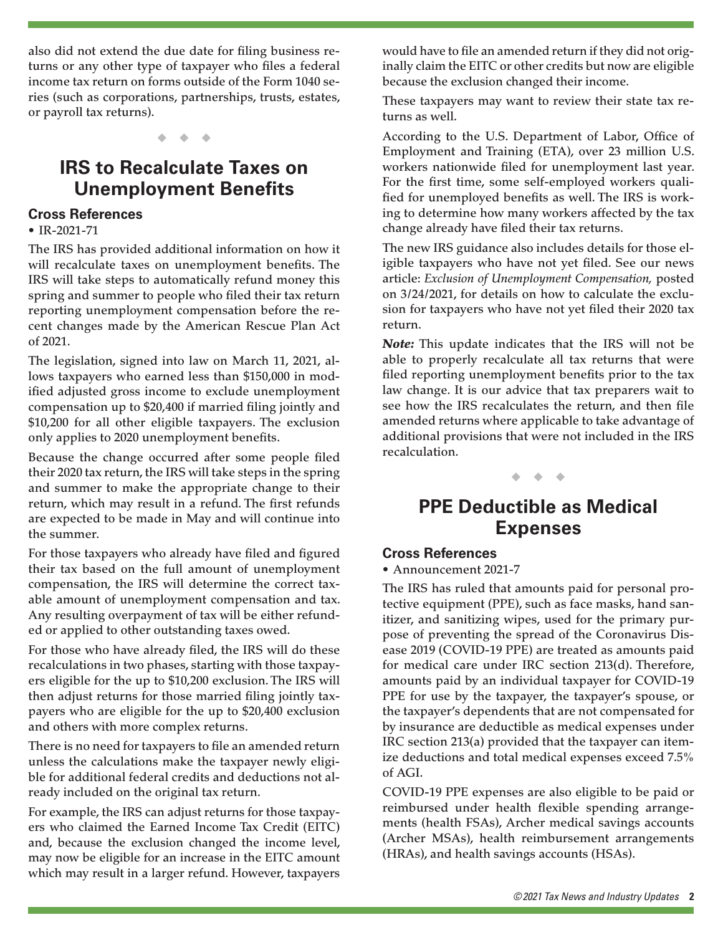also did not extend the due date for filing business returns or any other type of taxpayer who files a federal income tax return on forms outside of the Form 1040 series (such as corporations, partnerships, trusts, estates, or payroll tax returns).

◆ ◆ ◆

## **IRS to Recalculate Taxes on Unemployment Benefits**

### **Cross References**

• IR-2021-71

The IRS has provided additional information on how it will recalculate taxes on unemployment benefits. The IRS will take steps to automatically refund money this spring and summer to people who filed their tax return reporting unemployment compensation before the recent changes made by the American Rescue Plan Act of 2021.

The legislation, signed into law on March 11, 2021, allows taxpayers who earned less than \$150,000 in modified adjusted gross income to exclude unemployment compensation up to \$20,400 if married filing jointly and \$10,200 for all other eligible taxpayers. The exclusion only applies to 2020 unemployment benefits.

Because the change occurred after some people filed their 2020 tax return, the IRS will take steps in the spring and summer to make the appropriate change to their return, which may result in a refund. The first refunds are expected to be made in May and will continue into the summer.

For those taxpayers who already have filed and figured their tax based on the full amount of unemployment compensation, the IRS will determine the correct taxable amount of unemployment compensation and tax. Any resulting overpayment of tax will be either refunded or applied to other outstanding taxes owed.

For those who have already filed, the IRS will do these recalculations in two phases, starting with those taxpayers eligible for the up to \$10,200 exclusion. The IRS will then adjust returns for those married filing jointly taxpayers who are eligible for the up to \$20,400 exclusion and others with more complex returns.

There is no need for taxpayers to file an amended return unless the calculations make the taxpayer newly eligible for additional federal credits and deductions not already included on the original tax return.

For example, the IRS can adjust returns for those taxpayers who claimed the Earned Income Tax Credit (EITC) and, because the exclusion changed the income level, may now be eligible for an increase in the EITC amount which may result in a larger refund. However, taxpayers

would have to file an amended return if they did not originally claim the EITC or other credits but now are eligible because the exclusion changed their income.

These taxpayers may want to review their state tax returns as well.

According to the U.S. Department of Labor, Office of Employment and Training (ETA), over 23 million U.S. workers nationwide filed for unemployment last year. For the first time, some self-employed workers qualified for unemployed benefits as well. The IRS is working to determine how many workers affected by the tax change already have filed their tax returns.

The new IRS guidance also includes details for those eligible taxpayers who have not yet filed. See our news article: *Exclusion of Unemployment Compensation,* posted on 3/24/2021, for details on how to calculate the exclusion for taxpayers who have not yet filed their 2020 tax return.

*Note:* This update indicates that the IRS will not be able to properly recalculate all tax returns that were filed reporting unemployment benefits prior to the tax law change. It is our advice that tax preparers wait to see how the IRS recalculates the return, and then file amended returns where applicable to take advantage of additional provisions that were not included in the IRS recalculation.

◆ ◆ ◆

## **PPE Deductible as Medical Expenses**

### **Cross References**

• Announcement 2021-7

The IRS has ruled that amounts paid for personal protective equipment (PPE), such as face masks, hand sanitizer, and sanitizing wipes, used for the primary purpose of preventing the spread of the Coronavirus Disease 2019 (COVID-19 PPE) are treated as amounts paid for medical care under IRC section 213(d). Therefore, amounts paid by an individual taxpayer for COVID-19 PPE for use by the taxpayer, the taxpayer's spouse, or the taxpayer's dependents that are not compensated for by insurance are deductible as medical expenses under IRC section 213(a) provided that the taxpayer can itemize deductions and total medical expenses exceed 7.5% of AGI.

COVID-19 PPE expenses are also eligible to be paid or reimbursed under health flexible spending arrangements (health FSAs), Archer medical savings accounts (Archer MSAs), health reimbursement arrangements (HRAs), and health savings accounts (HSAs).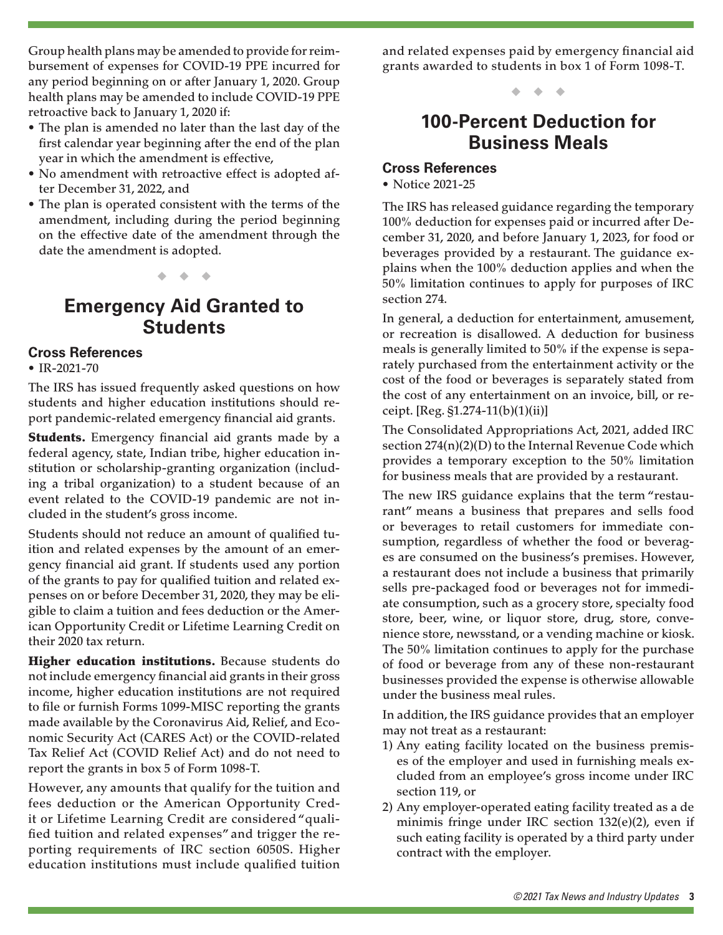Group health plans may be amended to provide for reimbursement of expenses for COVID-19 PPE incurred for any period beginning on or after January 1, 2020. Group health plans may be amended to include COVID-19 PPE retroactive back to January 1, 2020 if:

- The plan is amended no later than the last day of the first calendar year beginning after the end of the plan year in which the amendment is effective,
- No amendment with retroactive effect is adopted after December 31, 2022, and
- The plan is operated consistent with the terms of the amendment, including during the period beginning on the effective date of the amendment through the date the amendment is adopted.

**Emergency Aid Granted to Students**

◆ ◆ ◆

### **Cross References**

#### • IR-2021-70

The IRS has issued frequently asked questions on how students and higher education institutions should report pandemic-related emergency financial aid grants.

**Students.** Emergency financial aid grants made by a federal agency, state, Indian tribe, higher education institution or scholarship-granting organization (including a tribal organization) to a student because of an event related to the COVID-19 pandemic are not included in the student's gross income.

Students should not reduce an amount of qualified tuition and related expenses by the amount of an emergency financial aid grant. If students used any portion of the grants to pay for qualified tuition and related expenses on or before December 31, 2020, they may be eligible to claim a tuition and fees deduction or the American Opportunity Credit or Lifetime Learning Credit on their 2020 tax return.

Higher education institutions. Because students do not include emergency financial aid grants in their gross income, higher education institutions are not required to file or furnish Forms 1099-MISC reporting the grants made available by the Coronavirus Aid, Relief, and Economic Security Act (CARES Act) or the COVID-related Tax Relief Act (COVID Relief Act) and do not need to report the grants in box 5 of Form 1098-T.

However, any amounts that qualify for the tuition and fees deduction or the American Opportunity Credit or Lifetime Learning Credit are considered "qualified tuition and related expenses" and trigger the reporting requirements of IRC section 6050S. Higher education institutions must include qualified tuition and related expenses paid by emergency financial aid grants awarded to students in box 1 of Form 1098-T.

◆ ◆ ◆

### **100-Percent Deduction for Business Meals**

### **Cross References**

• Notice 2021-25

The IRS has released guidance regarding the temporary 100% deduction for expenses paid or incurred after December 31, 2020, and before January 1, 2023, for food or beverages provided by a restaurant. The guidance explains when the 100% deduction applies and when the 50% limitation continues to apply for purposes of IRC section 274.

In general, a deduction for entertainment, amusement, or recreation is disallowed. A deduction for business meals is generally limited to 50% if the expense is separately purchased from the entertainment activity or the cost of the food or beverages is separately stated from the cost of any entertainment on an invoice, bill, or receipt. [Reg. §1.274-11(b)(1)(ii)]

The Consolidated Appropriations Act, 2021, added IRC section 274(n)(2)(D) to the Internal Revenue Code which provides a temporary exception to the 50% limitation for business meals that are provided by a restaurant.

The new IRS guidance explains that the term "restaurant" means a business that prepares and sells food or beverages to retail customers for immediate consumption, regardless of whether the food or beverages are consumed on the business's premises. However, a restaurant does not include a business that primarily sells pre-packaged food or beverages not for immediate consumption, such as a grocery store, specialty food store, beer, wine, or liquor store, drug, store, convenience store, newsstand, or a vending machine or kiosk. The 50% limitation continues to apply for the purchase of food or beverage from any of these non-restaurant businesses provided the expense is otherwise allowable under the business meal rules.

In addition, the IRS guidance provides that an employer may not treat as a restaurant:

- 1) Any eating facility located on the business premises of the employer and used in furnishing meals excluded from an employee's gross income under IRC section 119, or
- 2) Any employer-operated eating facility treated as a de minimis fringe under IRC section 132(e)(2), even if such eating facility is operated by a third party under contract with the employer.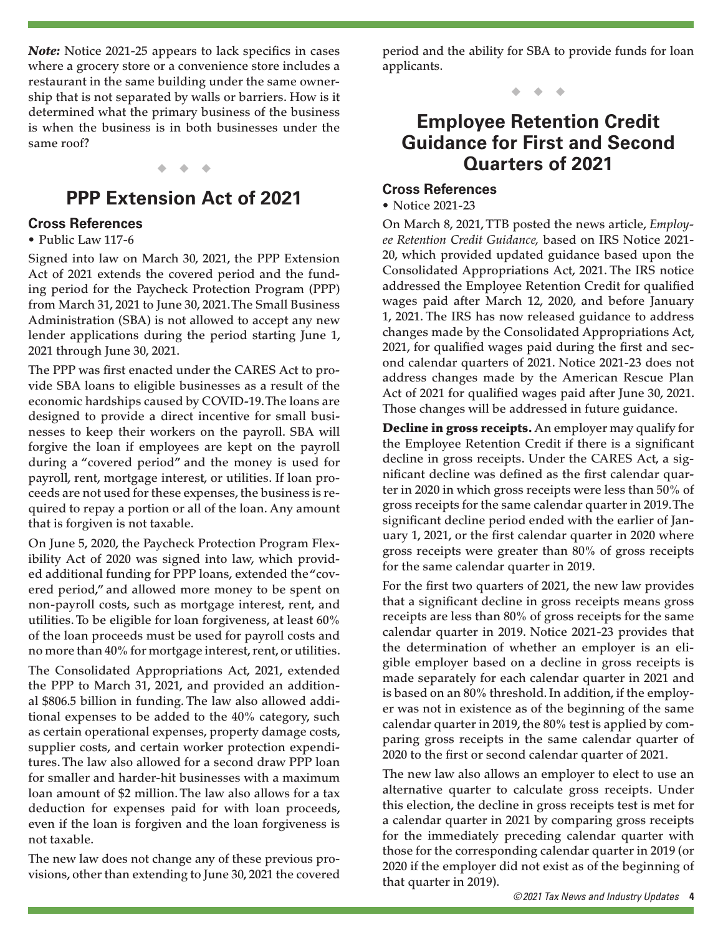*Note:* Notice 2021-25 appears to lack specifics in cases where a grocery store or a convenience store includes a restaurant in the same building under the same ownership that is not separated by walls or barriers. How is it determined what the primary business of the business is when the business is in both businesses under the same roof?

#### ◆ ◆ ◆

### **PPP Extension Act of 2021**

### **Cross References**

#### • Public Law 117-6

Signed into law on March 30, 2021, the PPP Extension Act of 2021 extends the covered period and the funding period for the Paycheck Protection Program (PPP) from March 31, 2021 to June 30, 2021. The Small Business Administration (SBA) is not allowed to accept any new lender applications during the period starting June 1, 2021 through June 30, 2021.

The PPP was first enacted under the CARES Act to provide SBA loans to eligible businesses as a result of the economic hardships caused by COVID-19. The loans are designed to provide a direct incentive for small businesses to keep their workers on the payroll. SBA will forgive the loan if employees are kept on the payroll during a "covered period" and the money is used for payroll, rent, mortgage interest, or utilities. If loan proceeds are not used for these expenses, the business is required to repay a portion or all of the loan. Any amount that is forgiven is not taxable.

On June 5, 2020, the Paycheck Protection Program Flexibility Act of 2020 was signed into law, which provided additional funding for PPP loans, extended the "covered period," and allowed more money to be spent on non-payroll costs, such as mortgage interest, rent, and utilities. To be eligible for loan forgiveness, at least 60% of the loan proceeds must be used for payroll costs and no more than 40% for mortgage interest, rent, or utilities.

The Consolidated Appropriations Act, 2021, extended the PPP to March 31, 2021, and provided an additional \$806.5 billion in funding. The law also allowed additional expenses to be added to the 40% category, such as certain operational expenses, property damage costs, supplier costs, and certain worker protection expenditures. The law also allowed for a second draw PPP loan for smaller and harder-hit businesses with a maximum loan amount of \$2 million. The law also allows for a tax deduction for expenses paid for with loan proceeds, even if the loan is forgiven and the loan forgiveness is not taxable.

The new law does not change any of these previous provisions, other than extending to June 30, 2021 the covered period and the ability for SBA to provide funds for loan applicants.

◆ ◆ ◆

### **Employee Retention Credit Guidance for First and Second Quarters of 2021**

### **Cross References**

#### • Notice 2021-23

On March 8, 2021, TTB posted the news article, *Employee Retention Credit Guidance,* based on IRS Notice 2021- 20, which provided updated guidance based upon the Consolidated Appropriations Act, 2021. The IRS notice addressed the Employee Retention Credit for qualified wages paid after March 12, 2020, and before January 1, 2021. The IRS has now released guidance to address changes made by the Consolidated Appropriations Act, 2021, for qualified wages paid during the first and second calendar quarters of 2021. Notice 2021-23 does not address changes made by the American Rescue Plan Act of 2021 for qualified wages paid after June 30, 2021. Those changes will be addressed in future guidance.

Decline in gross receipts. An employer may qualify for the Employee Retention Credit if there is a significant decline in gross receipts. Under the CARES Act, a significant decline was defined as the first calendar quarter in 2020 in which gross receipts were less than 50% of gross receipts for the same calendar quarter in 2019. The significant decline period ended with the earlier of January 1, 2021, or the first calendar quarter in 2020 where gross receipts were greater than 80% of gross receipts for the same calendar quarter in 2019.

For the first two quarters of 2021, the new law provides that a significant decline in gross receipts means gross receipts are less than 80% of gross receipts for the same calendar quarter in 2019. Notice 2021-23 provides that the determination of whether an employer is an eligible employer based on a decline in gross receipts is made separately for each calendar quarter in 2021 and is based on an 80% threshold. In addition, if the employer was not in existence as of the beginning of the same calendar quarter in 2019, the 80% test is applied by comparing gross receipts in the same calendar quarter of 2020 to the first or second calendar quarter of 2021.

The new law also allows an employer to elect to use an alternative quarter to calculate gross receipts. Under this election, the decline in gross receipts test is met for a calendar quarter in 2021 by comparing gross receipts for the immediately preceding calendar quarter with those for the corresponding calendar quarter in 2019 (or 2020 if the employer did not exist as of the beginning of that quarter in 2019).